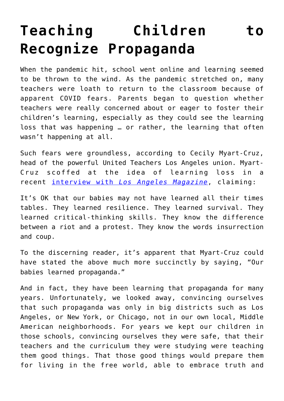## **[Teaching Children to](https://intellectualtakeout.org/2021/10/teaching-children-to-recognize-propaganda/) [Recognize Propaganda](https://intellectualtakeout.org/2021/10/teaching-children-to-recognize-propaganda/)**

When the pandemic hit, school went online and learning seemed to be thrown to the wind. As the pandemic stretched on, many teachers were loath to return to the classroom because of apparent COVID fears. Parents began to question whether teachers were really concerned about or eager to foster their children's learning, especially as they could see the learning loss that was happening … or rather, the learning that often wasn't happening at all.

Such fears were groundless, according to Cecily Myart-Cruz, head of the powerful United Teachers Los Angeles union. Myart-Cruz scoffed at the idea of learning loss in a recent [interview with](https://www.lamag.com/citythinkblog/cecily-myart-cruz-teachers-union/) *[Los Angeles Magazine](https://www.lamag.com/citythinkblog/cecily-myart-cruz-teachers-union/)*, claiming:

It's OK that our babies may not have learned all their times tables. They learned resilience. They learned survival. They learned critical-thinking skills. They know the difference between a riot and a protest. They know the words insurrection and coup.

To the discerning reader, it's apparent that Myart-Cruz could have stated the above much more succinctly by saying, "Our babies learned propaganda."

And in fact, they have been learning that propaganda for many years. Unfortunately, we looked away, convincing ourselves that such propaganda was only in big districts such as Los Angeles, or New York, or Chicago, not in our own local, Middle American neighborhoods. For years we kept our children in those schools, convincing ourselves they were safe, that their teachers and the curriculum they were studying were teaching them good things. That those good things would prepare them for living in the free world, able to embrace truth and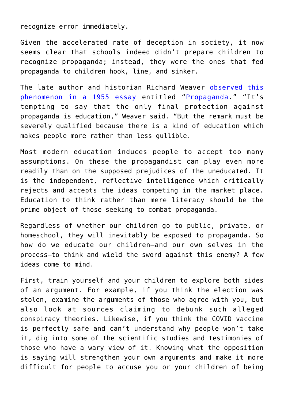recognize error immediately.

Given the accelerated rate of deception in society, it now seems clear that schools indeed didn't prepare children to recognize propaganda; instead, they were the ones that fed propaganda to children hook, line, and sinker.

The late author and historian Richard Weaver [observed this](https://www.amazon.com/gp/product/0865972834/ref=as_li_qf_asin_il_tl?ie=UTF8&tag=intelltakeo0d-20&creative=9325&linkCode=as2&creativeASIN=0865972834&linkId=031335c5e1476bfd07874d7dee5e5315) [phenomenon in a 1955 essay](https://www.amazon.com/gp/product/0865972834/ref=as_li_qf_asin_il_tl?ie=UTF8&tag=intelltakeo0d-20&creative=9325&linkCode=as2&creativeASIN=0865972834&linkId=031335c5e1476bfd07874d7dee5e5315) entitled "[Propaganda](https://www.theepochtimes.com/t-propaganda)." "It's tempting to say that the only final protection against propaganda is education," Weaver said. "But the remark must be severely qualified because there is a kind of education which makes people more rather than less gullible.

Most modern education induces people to accept too many assumptions. On these the propagandist can play even more readily than on the supposed prejudices of the uneducated. It is the independent, reflective intelligence which critically rejects and accepts the ideas competing in the market place. Education to think rather than mere literacy should be the prime object of those seeking to combat propaganda.

Regardless of whether our children go to public, private, or homeschool, they will inevitably be exposed to propaganda. So how do we educate our children—and our own selves in the process—to think and wield the sword against this enemy? A few ideas come to mind.

First, train yourself and your children to explore both sides of an argument. For example, if you think the election was stolen, examine the arguments of those who agree with you, but also look at sources claiming to debunk such alleged conspiracy theories. Likewise, if you think the COVID vaccine is perfectly safe and can't understand why people won't take it, dig into some of the scientific studies and testimonies of those who have a wary view of it. Knowing what the opposition is saying will strengthen your own arguments and make it more difficult for people to accuse you or your children of being